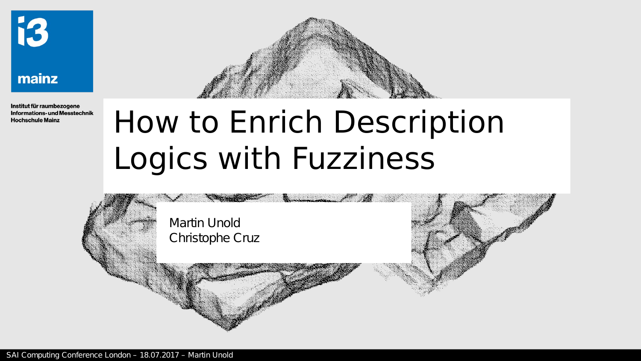

#### mainz

Institut für raumbezogene **Informations- und Messtechnik Hochschule Mainz** 

## How to Enrich Description Logics with Fuzziness

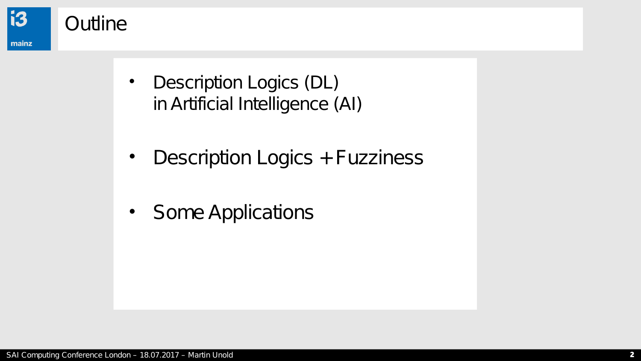

- Description Logics (DL) in Artificial Intelligence (AI)
- Description Logics + Fuzziness
- Some Applications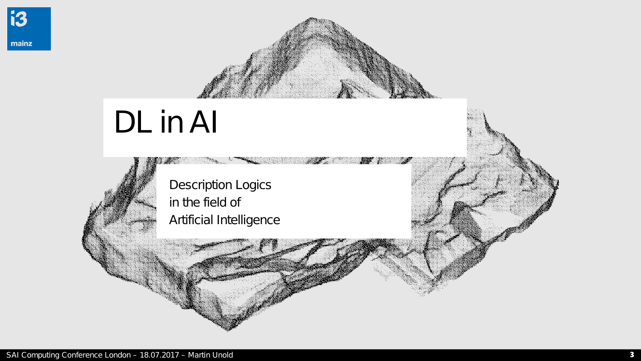

## DL in Al

355

**Description Logics** in the field of Artificial Intelligence AT 1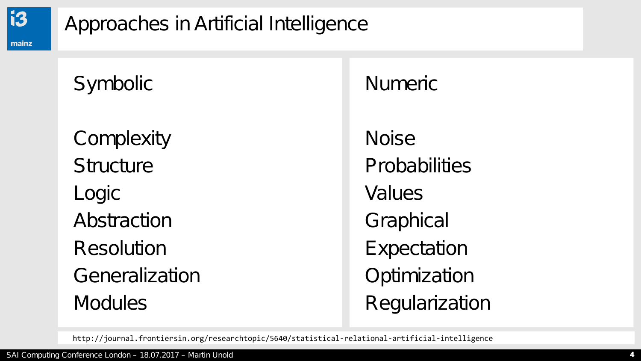

## Approaches in Artificial Intelligence

**Symbolic** 

**Complexity Structure** Logic Abstraction Resolution Generalization **Modules** 

Numeric

Noise **Probabilities** Values **Graphical Expectation Optimization Regularization** 

http://journal.frontiersin.org/researchtopic/5640/statistical-relational-artificial-intelligence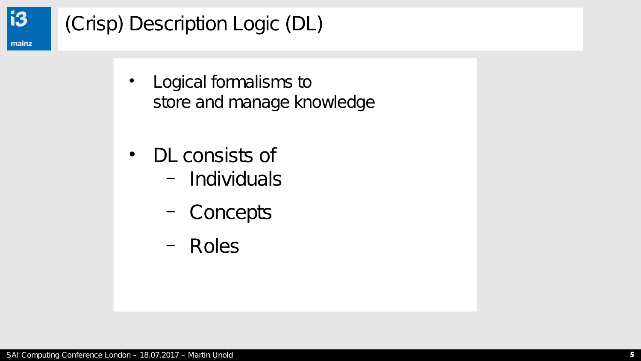

## (Crisp) Description Logic (DL)

- Logical formalisms to store and manage knowledge
- DL consists of
	- Individuals
	- Concepts
	- Roles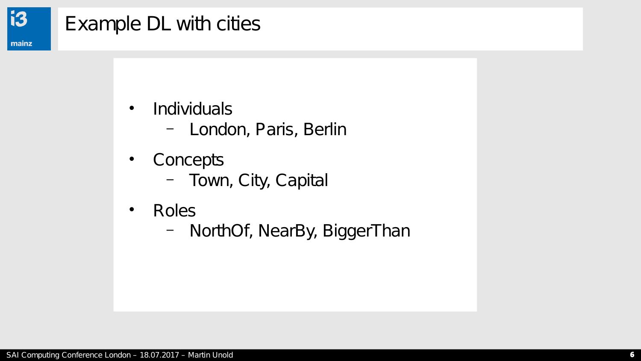

## Example DL with cities

- Individuals
	- London, Paris, Berlin
- Concepts
	- Town, City, Capital
- Roles
	- NorthOf, NearBy, BiggerThan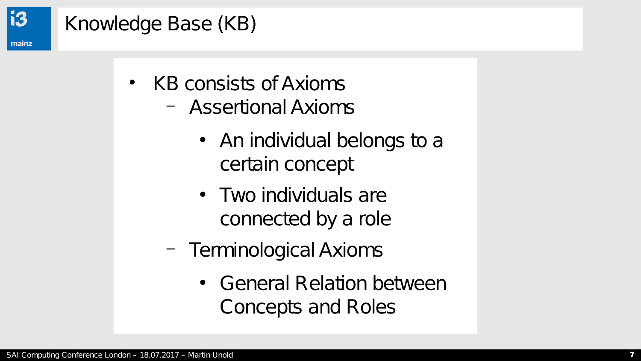

## Knowledge Base (KB)

- KB consists of Axioms
	- Assertional Axioms
		- An individual belongs to a certain concept
		- Two individuals are connected by a role
	- Terminological Axioms
		- General Relation between Concepts and Roles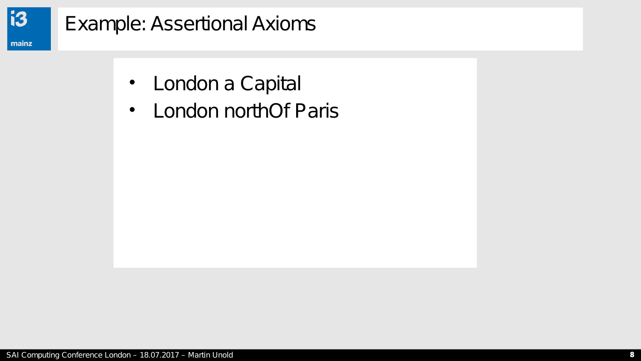

### Example: Assertional Axioms

- London a Capital
- London northOf Paris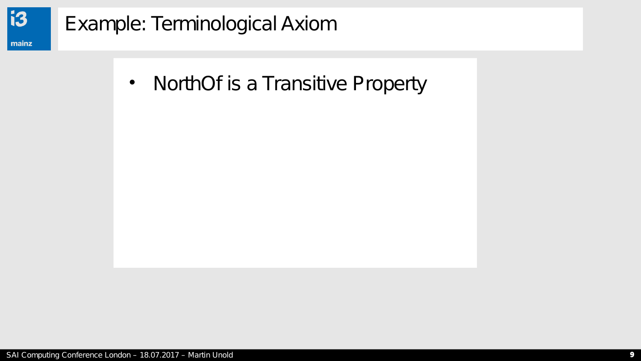

## **Example: Terminological Axiom**

NorthOf is a Transitive Property  $\bullet$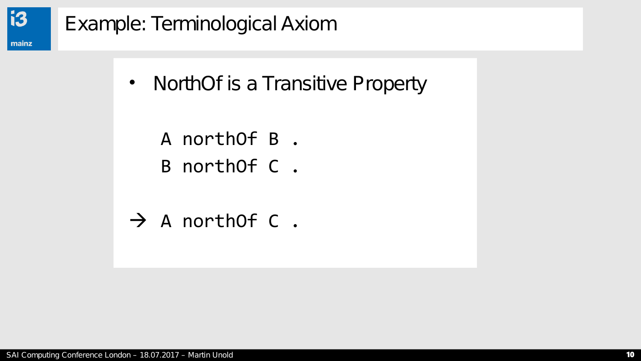

## Example: Terminological Axiom

- NorthOf is a Transitive Property
	- A northOf B .
	- B northOf C .
- $\rightarrow$  A northOf C.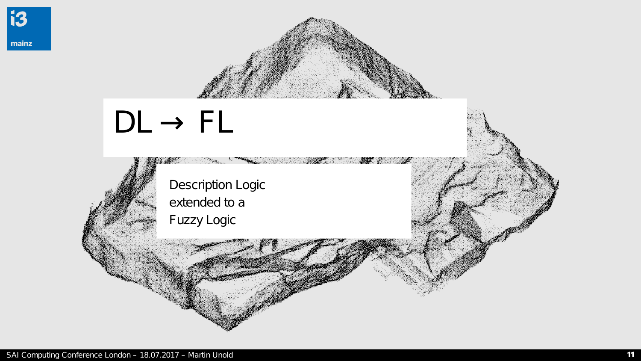# $DL \rightarrow FL$ **ART Description Logic** extended to a **Fuzzy Logic** e Santa Salah<br>Kabupatèn Kabupatèn Kabupatèn Kabupatèn Kabupatèn Kabupatèn Kabupatèn Kabupatèn Kabupatèn Kabupatèn Kabupatèn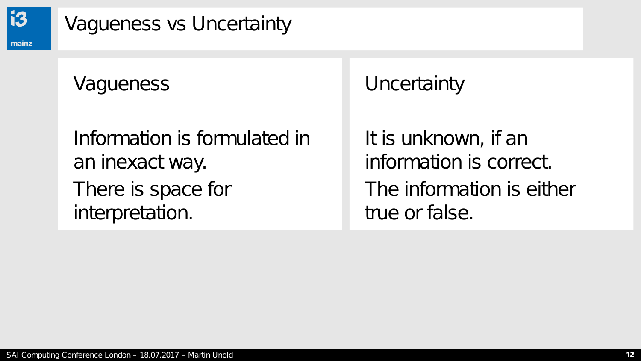

#### Vagueness vs Uncertainty

### **Vagueness**

Information is formulated in an inexact way. There is space for interpretation.

**Uncertainty** 

It is unknown, if an information is correct. The information is either true or false.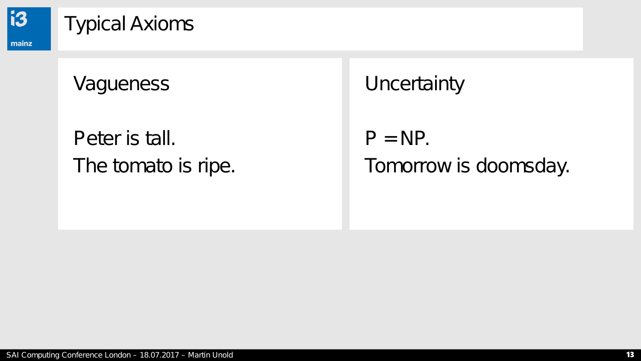

#### Typical Axioms

#### **Vagueness**

## Peter is tall. The tomato is ripe.

**Uncertainty** 

 $P = NP$ . Tomorrow is doomsday.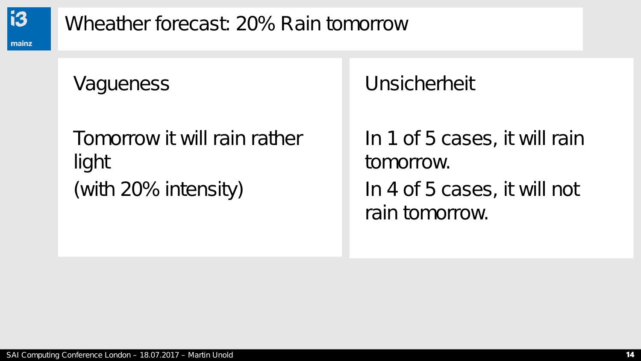

Wheather forecast: 20% Rain tomorrow

Vagueness

Tomorrow it will rain rather light (with 20% intensity)

Unsicherheit

In 1 of 5 cases, it will rain tomorrow. In 4 of 5 cases, it will not rain tomorrow.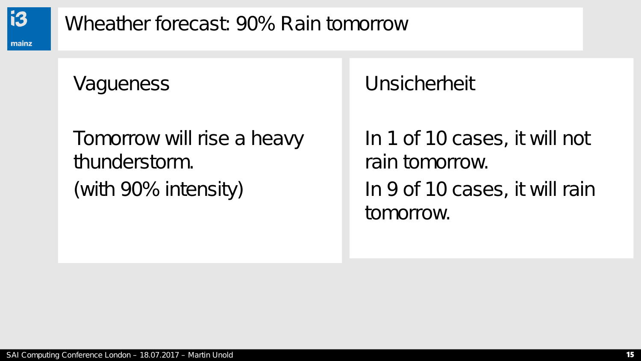

Wheather forecast: 90% Rain tomorrow

#### **Vagueness**

## Tomorrow will rise a heavy thunderstorm. (with 90% intensity)

Unsicherheit

In 1 of 10 cases, it will not rain tomorrow. In 9 of 10 cases, it will rain tomorrow.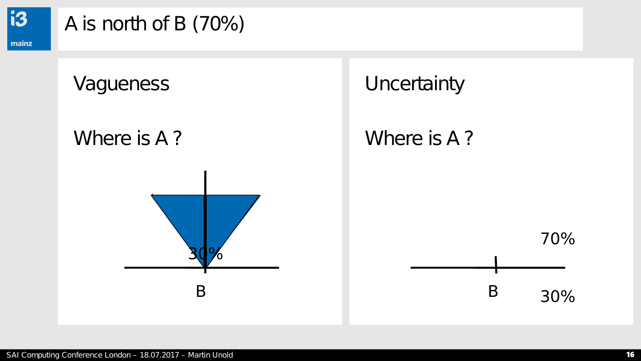

### A is north of B (70%)

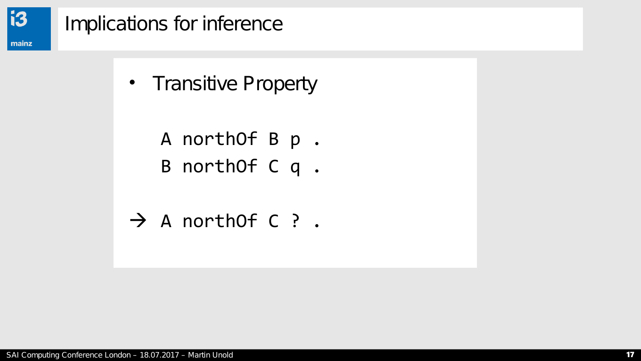

#### Implications for inference

- Transitive Property
	- A northOf B p .
	- B northOf C q .
- $\rightarrow$  A northOf C ? .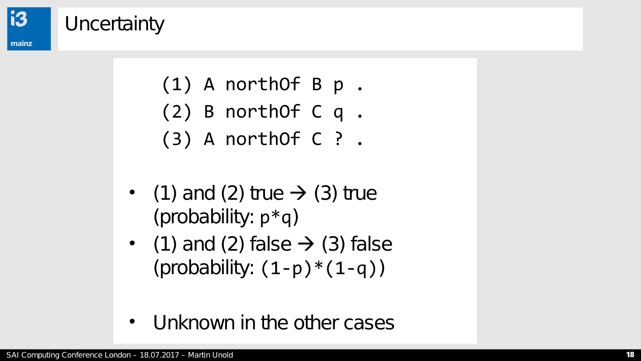

#### **Uncertainty**

- (1) A northOf B p .
- (2) B northOf C q .
- (3) A northOf C ? .
- (1) and (2) true  $\rightarrow$  (3) true (probability:  $p * q$ )
- (1) and (2) false  $\rightarrow$  (3) false (probability:  $(1-p)*(1-q)$ )
- Unknown in the other cases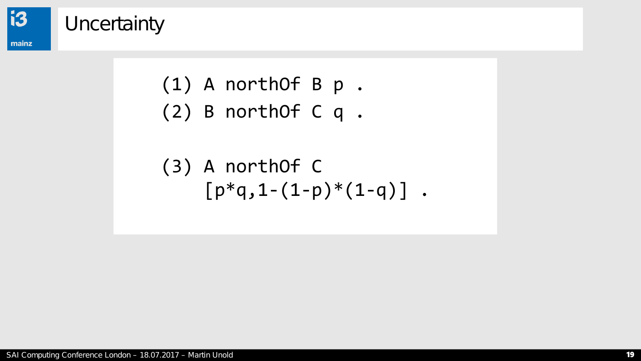

#### **Uncertainty**

- (1) A northOf B p .
- (2) B northOf C q .

(3) A northOf C 
$$
[p * q, 1 - (1-p) * (1-q)]
$$
.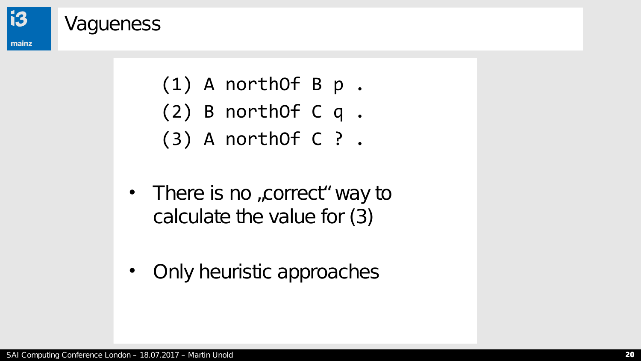

#### **Vagueness**

- (1) A northOf B p .
- (2) B northOf C q .
- (3) A northOf C ? .
- There is no , correct " way to calculate the value for (3)
- Only heuristic approaches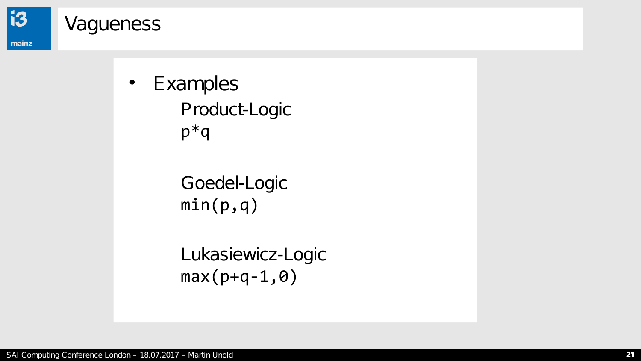

#### **Vagueness**

• Examples Product-Logic p\*q

> Goedel-Logic  $min(p,q)$

Lukasiewicz-Logic  $max(p+q-1, \theta)$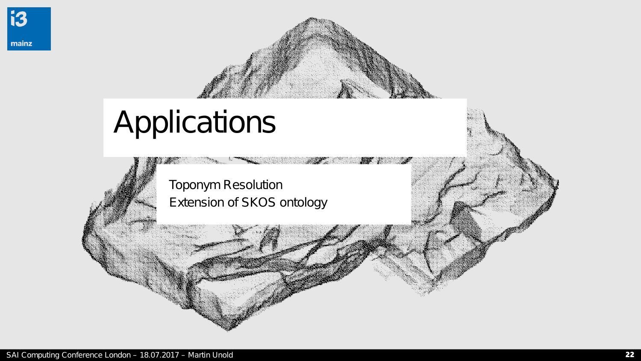

## Applications

Toponym Resolution Extension of SKOS ontology **ANTENDENT**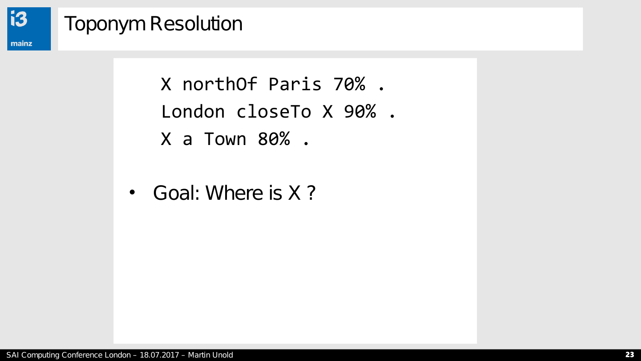

## **Toponym Resolution**

X northOf Paris 70%. London closeTo X 90%. X a Town 80%.

• Goal: Where is X?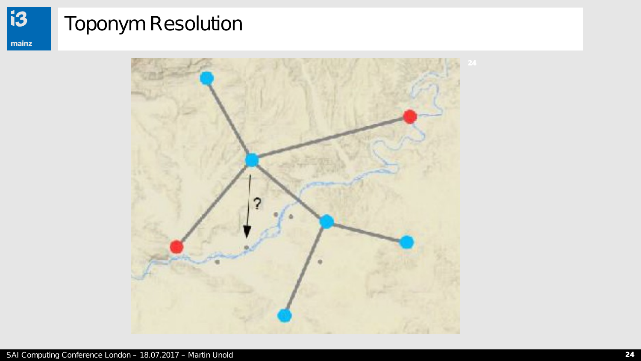## Toponym Resolution

**i3** 

mainz

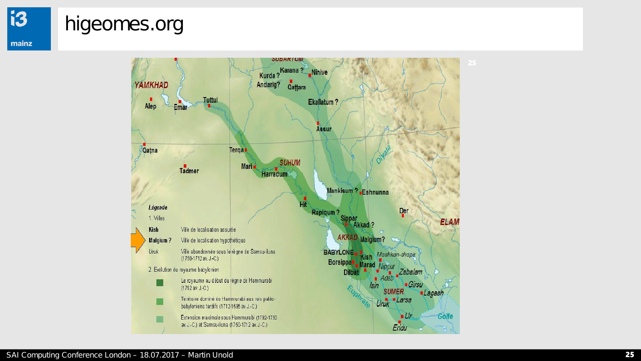#### higeomes.org

**i3** 

mainz

*SUBARIUM* Kurda ? Karana ? Ninive **YAMKHAD** Andarig? Qattara **Tuttul** Ekallatum? Alep Emar **Assur Terga** Qatna **SUHUM** Mari Tadmer Harradum Mankisum? Eshnunna нĹ Légende Rapiqum? Der <sup>1 ?</sup><br>Sippar<br>Akkad ? 1. Villes ELAM Kish Ville de localisation assurée **AKKAD Malgium?** Ville de localisation hypothétique Malgium? Uruk Ville abandonnée sous le règne de Samsu-iluna BABYLONE Kish Mashkan-shapir (1750-1712 av. J.-C.) Borsippa Marad Nippur 2. Evolution du royaume babylonien Zabalam **Dilbat**  $A$ *dab* Le royaume au début du règne de Hammurabi П **Girsu Isin** (1792 av. J.-C.) **SUMER** ■Lagash Territoire dominé de Hammurabi aux rois paléo-Larsa Г Uruk babyloniens tardifs (1712-1595 av. J.-C.)  $Ur$ Golfe Extension maximale sous Hammurabi (1792-1750 av. J.-C.) et Samsu-iluna (1750-1712 av. J.-C.) Eridu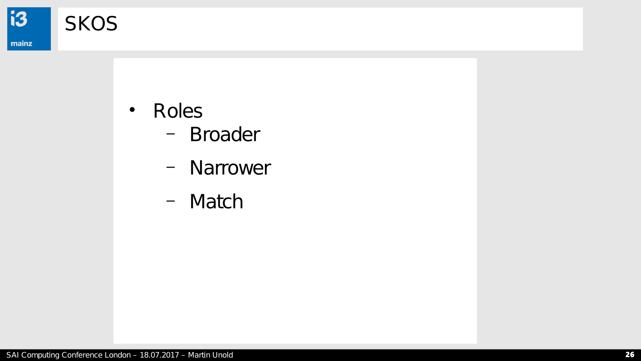

**SKOS** 

#### $\bullet$ Roles

- Broader
- Narrower
- Match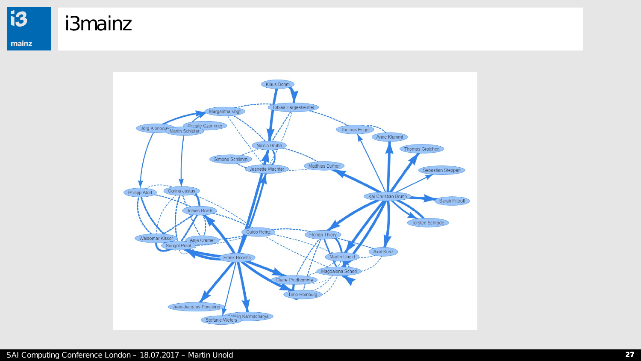